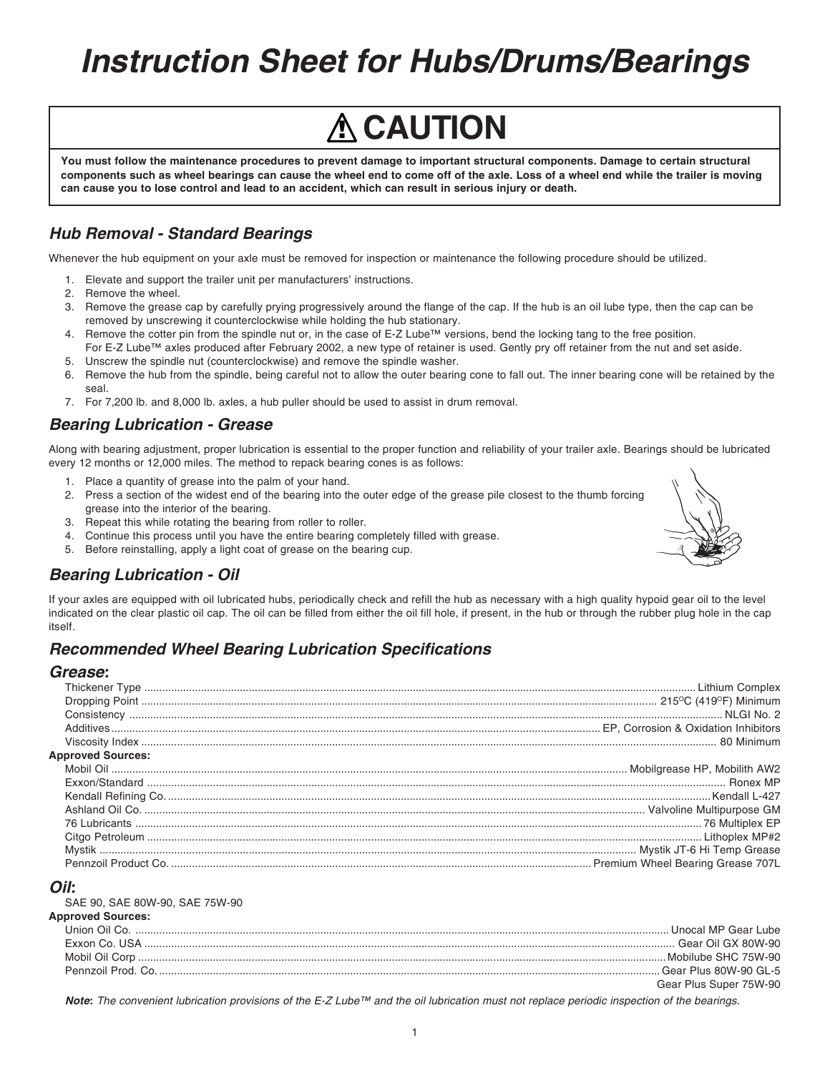# *Instruction Sheet for Hubs/Drums/Bearings*

# **! CAUTION**

**You must follow the maintenance procedures to prevent damage to important structural components. Damage to certain structural components such as wheel bearings can cause the wheel end to come off of the axle. Loss of a wheel end while the trailer is moving can cause you to lose control and lead to an accident, which can result in serious injury or death.**

## *Hub Removal - Standard Bearings*

Whenever the hub equipment on your axle must be removed for inspection or maintenance the following procedure should be utilized.

- 1. Elevate and support the trailer unit per manufacturers' instructions.
- 2. Remove the wheel.
- 3. Remove the grease cap by carefully prying progressively around the flange of the cap. If the hub is an oil lube type, then the cap can be removed by unscrewing it counterclockwise while holding the hub stationary.
- 4. Remove the cotter pin from the spindle nut or, in the case of E-Z Lube™ versions, bend the locking tang to the free position.
- For E-Z Lube™ axles produced after February 2002, a new type of retainer is used. Gently pry off retainer from the nut and set aside. 5. Unscrew the spindle nut (counterclockwise) and remove the spindle washer.
- 6. Remove the hub from the spindle, being careful not to allow the outer bearing cone to fall out. The inner bearing cone will be retained by the seal.
- 7. For 7,200 lb. and 8,000 lb. axles, a hub puller should be used to assist in drum removal.

### *Bearing Lubrication - Grease*

Along with bearing adjustment, proper lubrication is essential to the proper function and reliability of your trailer axle. Bearings should be lubricated every 12 months or 12,000 miles. The method to repack bearing cones is as follows:

- 1. Place a quantity of grease into the palm of your hand.
- 2. Press a section of the widest end of the bearing into the outer edge of the grease pile closest to the thumb forcing grease into the interior of the bearing.
- 3. Repeat this while rotating the bearing from roller to roller.
- 4. Continue this process until you have the entire bearing completely filled with grease.
- 5. Before reinstalling, apply a light coat of grease on the bearing cup.

# *Bearing Lubrication - Oil*

If your axles are equipped with oil lubricated hubs, periodically check and refill the hub as necessary with a high quality hypoid gear oil to the level indicated on the clear plastic oil cap. The oil can be filled from either the oil fill hole, if present, in the hub or through the rubber plug hole in the cap itself.

## *Recommended Wheel Bearing Lubrication Specifications*

#### *Grease:*

| <b>Approved Sources:</b> |  |
|--------------------------|--|
|                          |  |
|                          |  |
|                          |  |
|                          |  |
|                          |  |
|                          |  |
|                          |  |
|                          |  |
|                          |  |

#### *Oil:*

SAE 90, SAE 80W-90, SAE 75W-90

#### **Approved Sources:**

| Union Oil Co.      | Unocal MP Gear Lube     |
|--------------------|-------------------------|
|                    | . Gear Oil GX 80W-90    |
| Mobil Oil Corp     | Mobilube SHC 75W-90     |
| Pennzoil Prod. Co. | . Gear Plus 80W-90 GL-5 |
|                    | Gear Plus Super 75W-90  |

*Note: The convenient lubrication provisions of the E-Z Lube™ and the oil lubrication must not replace periodic inspection of the bearings.*